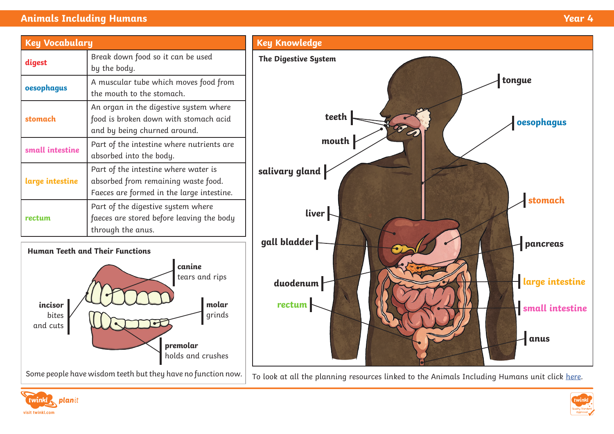## *Animals Including Humans* **Year 4**

| <b>Key Vocabulary</b> |                                                                                                                          |
|-----------------------|--------------------------------------------------------------------------------------------------------------------------|
| digest                | Break down food so it can be used<br>by the body.                                                                        |
| oesophagus            | A muscular tube which moves food from<br>the mouth to the stomach.                                                       |
| stomach               | An organ in the digestive system where<br>food is broken down with stomach acid<br>and by being churned around.          |
| small intestine       | Part of the intestine where nutrients are<br>absorbed into the body.                                                     |
| large intestine       | Part of the intestine where water is<br>absorbed from remaining waste food.<br>Faeces are formed in the large intestine. |
| rectum                | Part of the digestive system where<br>faeces are stored before leaving the body<br>through the anus.                     |





*To look at all the planning resources linked to the Animals Including Humans unit click [here](https://www.twinkl.co.uk/resources/planit-science-primary-teaching-resources/planit-science-primary-teaching-resources-y4/planit-science-primary-teaching-resources-y4-animals-including-humans). Some people have wisdom teeth but they have no function now.*